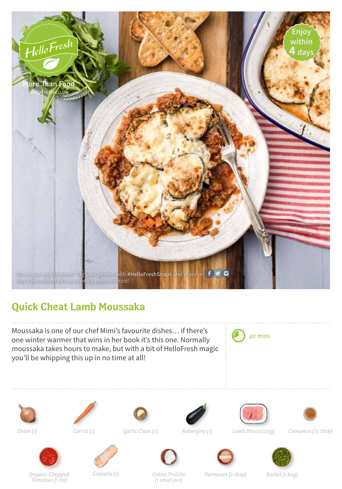

## **Quick Cheat Lamb Moussaka**

Moussaka is one of our chef Mimi's favourite dishes… if there's one winter warmer that wins in her book it's this one. Normally moussaka takes hours to make, but with a bit of HelloFresh magic you'll be whipping this up in no time at all!

















*Garlic Clove (2) Aubergine (1) Lamb Mince (225g) Onion (1) Carrot (1) Cinnamon (½ tbsp)*







*Tomatoes (1 tin)*

*Crème Fraîche (1 small pot)*

*Organic Chopped Ciabatta (1) Parmesan (2 tbsp) Rocket (1 bag)*